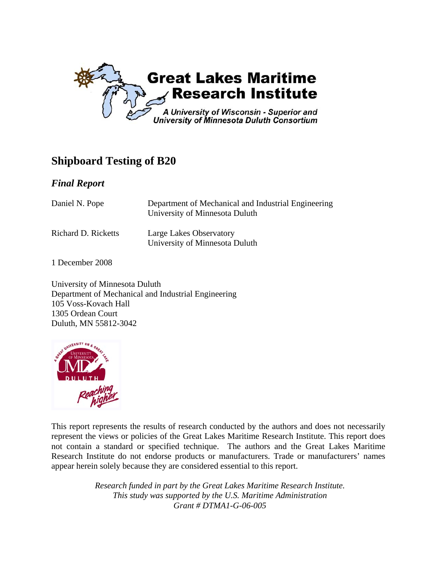

## **Shipboard Testing of B20**

#### *Final Report*

| Daniel N. Pope      | Department of Mechanical and Industrial Engineering<br>University of Minnesota Duluth |
|---------------------|---------------------------------------------------------------------------------------|
| Richard D. Ricketts | Large Lakes Observatory<br>University of Minnesota Duluth                             |

1 December 2008

University of Minnesota Duluth Department of Mechanical and Industrial Engineering 105 Voss-Kovach Hall 1305 Ordean Court Duluth, MN 55812-3042



This report represents the results of research conducted by the authors and does not necessarily represent the views or policies of the Great Lakes Maritime Research Institute. This report does not contain a standard or specified technique. The authors and the Great Lakes Maritime Research Institute do not endorse products or manufacturers. Trade or manufacturers' names appear herein solely because they are considered essential to this report.

> *Research funded in part by the Great Lakes Maritime Research Institute. This study was supported by the U.S. Maritime Administration Grant # DTMA1-G-06-005*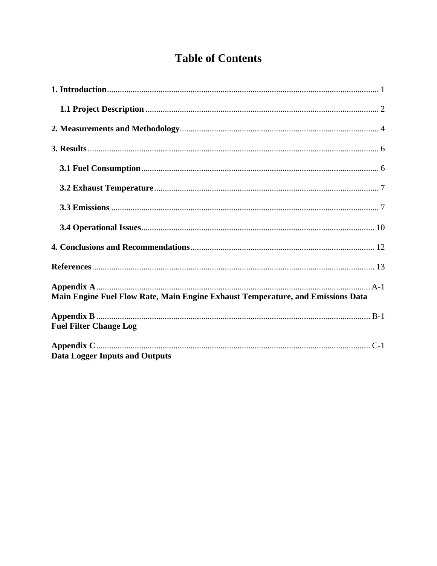## **Table of Contents**

| Main Engine Fuel Flow Rate, Main Engine Exhaust Temperature, and Emissions Data |
|---------------------------------------------------------------------------------|
| <b>Fuel Filter Change Log</b>                                                   |
| <b>Data Logger Inputs and Outputs</b>                                           |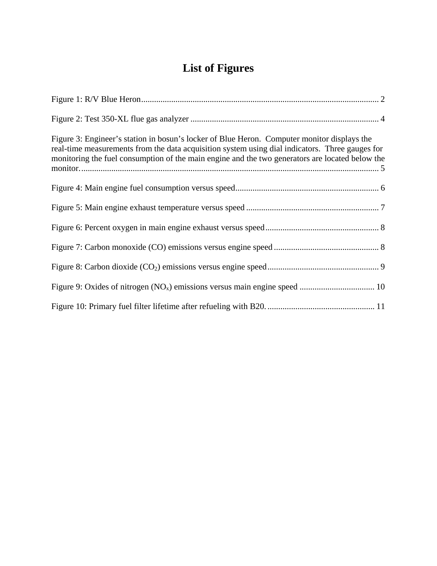## **List of Figures**

| Figure 3: Engineer's station in bosun's locker of Blue Heron. Computer monitor displays the<br>real-time measurements from the data acquisition system using dial indicators. Three gauges for<br>monitoring the fuel consumption of the main engine and the two generators are located below the |
|---------------------------------------------------------------------------------------------------------------------------------------------------------------------------------------------------------------------------------------------------------------------------------------------------|
|                                                                                                                                                                                                                                                                                                   |
|                                                                                                                                                                                                                                                                                                   |
|                                                                                                                                                                                                                                                                                                   |
|                                                                                                                                                                                                                                                                                                   |
|                                                                                                                                                                                                                                                                                                   |
|                                                                                                                                                                                                                                                                                                   |
|                                                                                                                                                                                                                                                                                                   |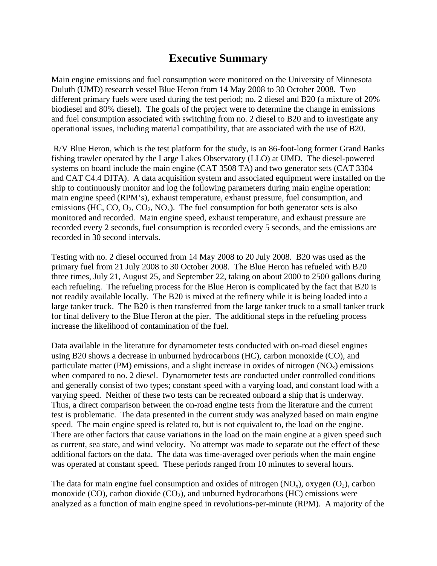## **Executive Summary**

Main engine emissions and fuel consumption were monitored on the University of Minnesota Duluth (UMD) research vessel Blue Heron from 14 May 2008 to 30 October 2008. Two different primary fuels were used during the test period; no. 2 diesel and B20 (a mixture of 20% biodiesel and 80% diesel). The goals of the project were to determine the change in emissions and fuel consumption associated with switching from no. 2 diesel to B20 and to investigate any operational issues, including material compatibility, that are associated with the use of B20.

 R/V Blue Heron, which is the test platform for the study, is an 86-foot-long former Grand Banks fishing trawler operated by the Large Lakes Observatory (LLO) at UMD. The diesel-powered systems on board include the main engine (CAT 3508 TA) and two generator sets (CAT 3304 and CAT C4.4 DITA). A data acquisition system and associated equipment were installed on the ship to continuously monitor and log the following parameters during main engine operation: main engine speed (RPM's), exhaust temperature, exhaust pressure, fuel consumption, and emissions (HC, CO,  $O_2$ , CO<sub>2</sub>, NO<sub>x</sub>). The fuel consumption for both generator sets is also monitored and recorded. Main engine speed, exhaust temperature, and exhaust pressure are recorded every 2 seconds, fuel consumption is recorded every 5 seconds, and the emissions are recorded in 30 second intervals.

Testing with no. 2 diesel occurred from 14 May 2008 to 20 July 2008. B20 was used as the primary fuel from 21 July 2008 to 30 October 2008. The Blue Heron has refueled with B20 three times, July 21, August 25, and September 22, taking on about 2000 to 2500 gallons during each refueling. The refueling process for the Blue Heron is complicated by the fact that B20 is not readily available locally. The B20 is mixed at the refinery while it is being loaded into a large tanker truck. The B20 is then transferred from the large tanker truck to a small tanker truck for final delivery to the Blue Heron at the pier. The additional steps in the refueling process increase the likelihood of contamination of the fuel.

Data available in the literature for dynamometer tests conducted with on-road diesel engines using B20 shows a decrease in unburned hydrocarbons (HC), carbon monoxide (CO), and particulate matter (PM) emissions, and a slight increase in oxides of nitrogen  $(NO<sub>x</sub>)$  emissions when compared to no. 2 diesel. Dynamometer tests are conducted under controlled conditions and generally consist of two types; constant speed with a varying load, and constant load with a varying speed. Neither of these two tests can be recreated onboard a ship that is underway. Thus, a direct comparison between the on-road engine tests from the literature and the current test is problematic. The data presented in the current study was analyzed based on main engine speed. The main engine speed is related to, but is not equivalent to, the load on the engine. There are other factors that cause variations in the load on the main engine at a given speed such as current, sea state, and wind velocity. No attempt was made to separate out the effect of these additional factors on the data. The data was time-averaged over periods when the main engine was operated at constant speed. These periods ranged from 10 minutes to several hours.

The data for main engine fuel consumption and oxides of nitrogen  $(NO_x)$ , oxygen  $(O_2)$ , carbon monoxide (CO), carbon dioxide ( $CO<sub>2</sub>$ ), and unburned hydrocarbons (HC) emissions were analyzed as a function of main engine speed in revolutions-per-minute (RPM). A majority of the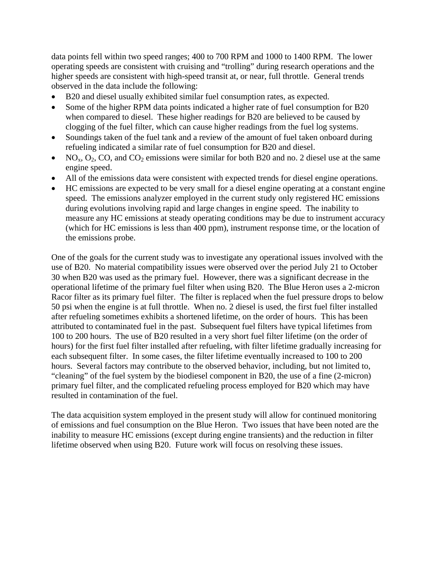data points fell within two speed ranges; 400 to 700 RPM and 1000 to 1400 RPM. The lower operating speeds are consistent with cruising and "trolling" during research operations and the higher speeds are consistent with high-speed transit at, or near, full throttle. General trends observed in the data include the following:

- B20 and diesel usually exhibited similar fuel consumption rates, as expected.
- Some of the higher RPM data points indicated a higher rate of fuel consumption for B20 when compared to diesel. These higher readings for B20 are believed to be caused by clogging of the fuel filter, which can cause higher readings from the fuel log systems.
- Soundings taken of the fuel tank and a review of the amount of fuel taken onboard during refueling indicated a similar rate of fuel consumption for B20 and diesel.
- NO<sub>x</sub>,  $O_2$ , CO, and CO<sub>2</sub> emissions were similar for both B20 and no. 2 diesel use at the same engine speed.
- All of the emissions data were consistent with expected trends for diesel engine operations.
- HC emissions are expected to be very small for a diesel engine operating at a constant engine speed. The emissions analyzer employed in the current study only registered HC emissions during evolutions involving rapid and large changes in engine speed. The inability to measure any HC emissions at steady operating conditions may be due to instrument accuracy (which for HC emissions is less than 400 ppm), instrument response time, or the location of the emissions probe.

One of the goals for the current study was to investigate any operational issues involved with the use of B20. No material compatibility issues were observed over the period July 21 to October 30 when B20 was used as the primary fuel. However, there was a significant decrease in the operational lifetime of the primary fuel filter when using B20. The Blue Heron uses a 2-micron Racor filter as its primary fuel filter. The filter is replaced when the fuel pressure drops to below 50 psi when the engine is at full throttle. When no. 2 diesel is used, the first fuel filter installed after refueling sometimes exhibits a shortened lifetime, on the order of hours. This has been attributed to contaminated fuel in the past. Subsequent fuel filters have typical lifetimes from 100 to 200 hours. The use of B20 resulted in a very short fuel filter lifetime (on the order of hours) for the first fuel filter installed after refueling, with filter lifetime gradually increasing for each subsequent filter. In some cases, the filter lifetime eventually increased to 100 to 200 hours. Several factors may contribute to the observed behavior, including, but not limited to, "cleaning" of the fuel system by the biodiesel component in B20, the use of a fine (2-micron) primary fuel filter, and the complicated refueling process employed for B20 which may have resulted in contamination of the fuel.

The data acquisition system employed in the present study will allow for continued monitoring of emissions and fuel consumption on the Blue Heron. Two issues that have been noted are the inability to measure HC emissions (except during engine transients) and the reduction in filter lifetime observed when using B20. Future work will focus on resolving these issues.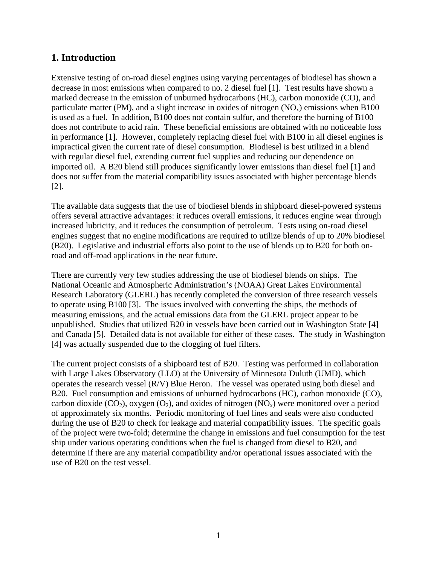#### **1. Introduction**

Extensive testing of on-road diesel engines using varying percentages of biodiesel has shown a decrease in most emissions when compared to no. 2 diesel fuel [1]. Test results have shown a marked decrease in the emission of unburned hydrocarbons (HC), carbon monoxide (CO), and particulate matter (PM), and a slight increase in oxides of nitrogen  $(NO_x)$  emissions when B100 is used as a fuel. In addition, B100 does not contain sulfur, and therefore the burning of B100 does not contribute to acid rain. These beneficial emissions are obtained with no noticeable loss in performance [1]. However, completely replacing diesel fuel with B100 in all diesel engines is impractical given the current rate of diesel consumption. Biodiesel is best utilized in a blend with regular diesel fuel, extending current fuel supplies and reducing our dependence on imported oil. A B20 blend still produces significantly lower emissions than diesel fuel [1] and does not suffer from the material compatibility issues associated with higher percentage blends [2].

The available data suggests that the use of biodiesel blends in shipboard diesel-powered systems offers several attractive advantages: it reduces overall emissions, it reduces engine wear through increased lubricity, and it reduces the consumption of petroleum. Tests using on-road diesel engines suggest that no engine modifications are required to utilize blends of up to 20% biodiesel (B20). Legislative and industrial efforts also point to the use of blends up to B20 for both onroad and off-road applications in the near future.

There are currently very few studies addressing the use of biodiesel blends on ships. The National Oceanic and Atmospheric Administration's (NOAA) Great Lakes Environmental Research Laboratory (GLERL) has recently completed the conversion of three research vessels to operate using B100 [3]. The issues involved with converting the ships, the methods of measuring emissions, and the actual emissions data from the GLERL project appear to be unpublished. Studies that utilized B20 in vessels have been carried out in Washington State [4] and Canada [5]. Detailed data is not available for either of these cases. The study in Washington [4] was actually suspended due to the clogging of fuel filters.

The current project consists of a shipboard test of B20. Testing was performed in collaboration with Large Lakes Observatory (LLO) at the University of Minnesota Duluth (UMD), which operates the research vessel (R/V) Blue Heron. The vessel was operated using both diesel and B20. Fuel consumption and emissions of unburned hydrocarbons (HC), carbon monoxide (CO), carbon dioxide (CO<sub>2</sub>), oxygen (O<sub>2</sub>), and oxides of nitrogen (NO<sub>x</sub>) were monitored over a period of approximately six months. Periodic monitoring of fuel lines and seals were also conducted during the use of B20 to check for leakage and material compatibility issues. The specific goals of the project were two-fold; determine the change in emissions and fuel consumption for the test ship under various operating conditions when the fuel is changed from diesel to B20, and determine if there are any material compatibility and/or operational issues associated with the use of B20 on the test vessel.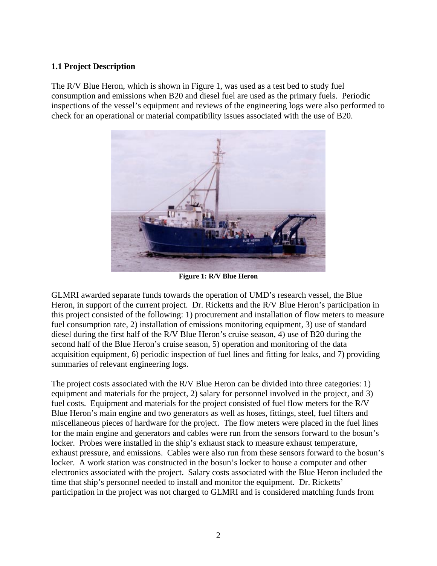#### **1.1 Project Description**

The R/V Blue Heron, which is shown in Figure 1, was used as a test bed to study fuel consumption and emissions when B20 and diesel fuel are used as the primary fuels. Periodic inspections of the vessel's equipment and reviews of the engineering logs were also performed to check for an operational or material compatibility issues associated with the use of B20.



**Figure 1: R/V Blue Heron** 

GLMRI awarded separate funds towards the operation of UMD's research vessel, the Blue Heron, in support of the current project. Dr. Ricketts and the R/V Blue Heron's participation in this project consisted of the following: 1) procurement and installation of flow meters to measure fuel consumption rate, 2) installation of emissions monitoring equipment, 3) use of standard diesel during the first half of the R/V Blue Heron's cruise season, 4) use of B20 during the second half of the Blue Heron's cruise season, 5) operation and monitoring of the data acquisition equipment, 6) periodic inspection of fuel lines and fitting for leaks, and 7) providing summaries of relevant engineering logs.

The project costs associated with the R/V Blue Heron can be divided into three categories: 1) equipment and materials for the project, 2) salary for personnel involved in the project, and 3) fuel costs. Equipment and materials for the project consisted of fuel flow meters for the R/V Blue Heron's main engine and two generators as well as hoses, fittings, steel, fuel filters and miscellaneous pieces of hardware for the project. The flow meters were placed in the fuel lines for the main engine and generators and cables were run from the sensors forward to the bosun's locker. Probes were installed in the ship's exhaust stack to measure exhaust temperature, exhaust pressure, and emissions. Cables were also run from these sensors forward to the bosun's locker. A work station was constructed in the bosun's locker to house a computer and other electronics associated with the project. Salary costs associated with the Blue Heron included the time that ship's personnel needed to install and monitor the equipment. Dr. Ricketts' participation in the project was not charged to GLMRI and is considered matching funds from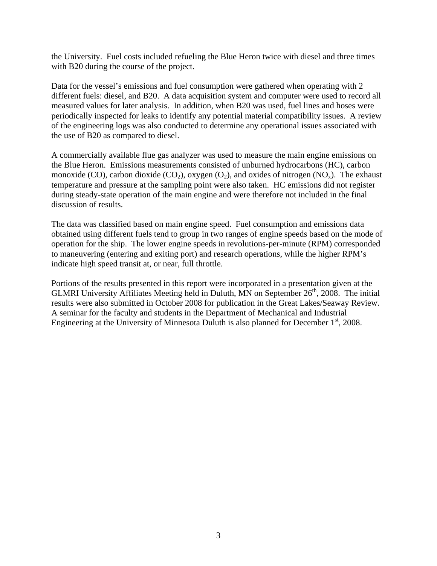the University. Fuel costs included refueling the Blue Heron twice with diesel and three times with B20 during the course of the project.

Data for the vessel's emissions and fuel consumption were gathered when operating with 2 different fuels: diesel, and B20. A data acquisition system and computer were used to record all measured values for later analysis. In addition, when B20 was used, fuel lines and hoses were periodically inspected for leaks to identify any potential material compatibility issues. A review of the engineering logs was also conducted to determine any operational issues associated with the use of B20 as compared to diesel.

A commercially available flue gas analyzer was used to measure the main engine emissions on the Blue Heron. Emissions measurements consisted of unburned hydrocarbons (HC), carbon monoxide (CO), carbon dioxide (CO<sub>2</sub>), oxygen (O<sub>2</sub>), and oxides of nitrogen (NO<sub>x</sub>). The exhaust temperature and pressure at the sampling point were also taken. HC emissions did not register during steady-state operation of the main engine and were therefore not included in the final discussion of results.

The data was classified based on main engine speed. Fuel consumption and emissions data obtained using different fuels tend to group in two ranges of engine speeds based on the mode of operation for the ship. The lower engine speeds in revolutions-per-minute (RPM) corresponded to maneuvering (entering and exiting port) and research operations, while the higher RPM's indicate high speed transit at, or near, full throttle.

Portions of the results presented in this report were incorporated in a presentation given at the GLMRI University Affiliates Meeting held in Duluth, MN on September  $26<sup>th</sup>$ , 2008. The initial results were also submitted in October 2008 for publication in the Great Lakes/Seaway Review. A seminar for the faculty and students in the Department of Mechanical and Industrial Engineering at the University of Minnesota Duluth is also planned for December  $1<sup>st</sup>$ , 2008.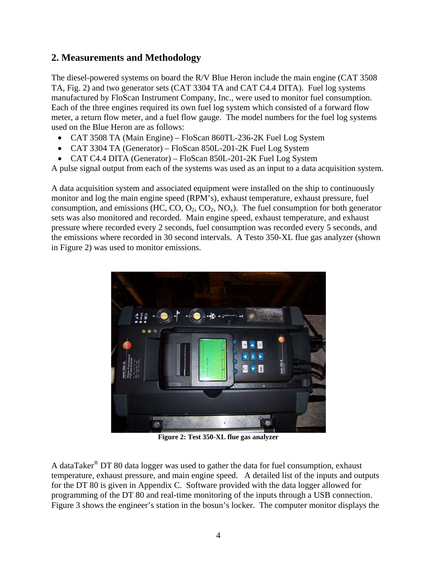#### **2. Measurements and Methodology**

The diesel-powered systems on board the R/V Blue Heron include the main engine (CAT 3508 TA, Fig. 2) and two generator sets (CAT 3304 TA and CAT C4.4 DITA). Fuel log systems manufactured by FloScan Instrument Company, Inc., were used to monitor fuel consumption. Each of the three engines required its own fuel log system which consisted of a forward flow meter, a return flow meter, and a fuel flow gauge. The model numbers for the fuel log systems used on the Blue Heron are as follows:

- CAT 3508 TA (Main Engine) FloScan 860TL-236-2K Fuel Log System
- CAT 3304 TA (Generator) FloScan 850L-201-2K Fuel Log System
- CAT C4.4 DITA (Generator) FloScan 850L-201-2K Fuel Log System

A pulse signal output from each of the systems was used as an input to a data acquisition system.

A data acquisition system and associated equipment were installed on the ship to continuously monitor and log the main engine speed (RPM's), exhaust temperature, exhaust pressure, fuel consumption, and emissions (HC, CO,  $O_2$ ,  $CO_2$ , NO<sub>x</sub>). The fuel consumption for both generator sets was also monitored and recorded. Main engine speed, exhaust temperature, and exhaust pressure where recorded every 2 seconds, fuel consumption was recorded every 5 seconds, and the emissions where recorded in 30 second intervals. A Testo 350-XL flue gas analyzer (shown in Figure 2) was used to monitor emissions.



**Figure 2: Test 350-XL flue gas analyzer** 

A dataTaker<sup>®</sup> DT 80 data logger was used to gather the data for fuel consumption, exhaust temperature, exhaust pressure, and main engine speed. A detailed list of the inputs and outputs for the DT 80 is given in Appendix C. Software provided with the data logger allowed for programming of the DT 80 and real-time monitoring of the inputs through a USB connection. Figure 3 shows the engineer's station in the bosun's locker. The computer monitor displays the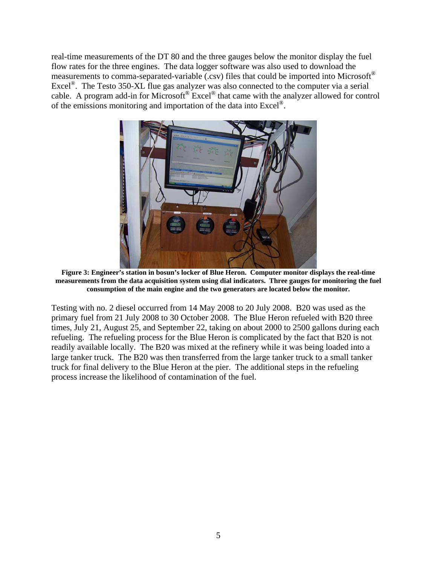real-time measurements of the DT 80 and the three gauges below the monitor display the fuel flow rates for the three engines. The data logger software was also used to download the measurements to comma-separated-variable (.csv) files that could be imported into Microsoft<sup>®</sup> Excel<sup>®</sup>. The Testo 350-XL flue gas analyzer was also connected to the computer via a serial cable. A program add-in for Microsoft® Excel® that came with the analyzer allowed for control of the emissions monitoring and importation of the data into Excel®.



**Figure 3: Engineer's station in bosun's locker of Blue Heron. Computer monitor displays the real-time measurements from the data acquisition system using dial indicators. Three gauges for monitoring the fuel consumption of the main engine and the two generators are located below the monitor.** 

Testing with no. 2 diesel occurred from 14 May 2008 to 20 July 2008. B20 was used as the primary fuel from 21 July 2008 to 30 October 2008. The Blue Heron refueled with B20 three times, July 21, August 25, and September 22, taking on about 2000 to 2500 gallons during each refueling. The refueling process for the Blue Heron is complicated by the fact that B20 is not readily available locally. The B20 was mixed at the refinery while it was being loaded into a large tanker truck. The B20 was then transferred from the large tanker truck to a small tanker truck for final delivery to the Blue Heron at the pier. The additional steps in the refueling process increase the likelihood of contamination of the fuel.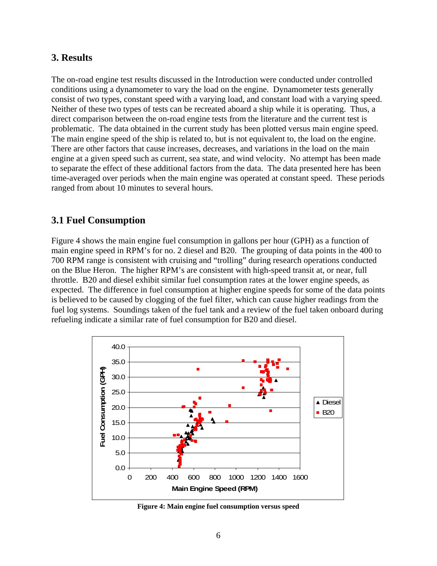#### **3. Results**

The on-road engine test results discussed in the Introduction were conducted under controlled conditions using a dynamometer to vary the load on the engine. Dynamometer tests generally consist of two types, constant speed with a varying load, and constant load with a varying speed. Neither of these two types of tests can be recreated aboard a ship while it is operating. Thus, a direct comparison between the on-road engine tests from the literature and the current test is problematic. The data obtained in the current study has been plotted versus main engine speed. The main engine speed of the ship is related to, but is not equivalent to, the load on the engine. There are other factors that cause increases, decreases, and variations in the load on the main engine at a given speed such as current, sea state, and wind velocity. No attempt has been made to separate the effect of these additional factors from the data. The data presented here has been time-averaged over periods when the main engine was operated at constant speed. These periods ranged from about 10 minutes to several hours.

#### **3.1 Fuel Consumption**

Figure 4 shows the main engine fuel consumption in gallons per hour (GPH) as a function of main engine speed in RPM's for no. 2 diesel and B20. The grouping of data points in the 400 to 700 RPM range is consistent with cruising and "trolling" during research operations conducted on the Blue Heron. The higher RPM's are consistent with high-speed transit at, or near, full throttle. B20 and diesel exhibit similar fuel consumption rates at the lower engine speeds, as expected. The difference in fuel consumption at higher engine speeds for some of the data points is believed to be caused by clogging of the fuel filter, which can cause higher readings from the fuel log systems. Soundings taken of the fuel tank and a review of the fuel taken onboard during refueling indicate a similar rate of fuel consumption for B20 and diesel.



**Figure 4: Main engine fuel consumption versus speed**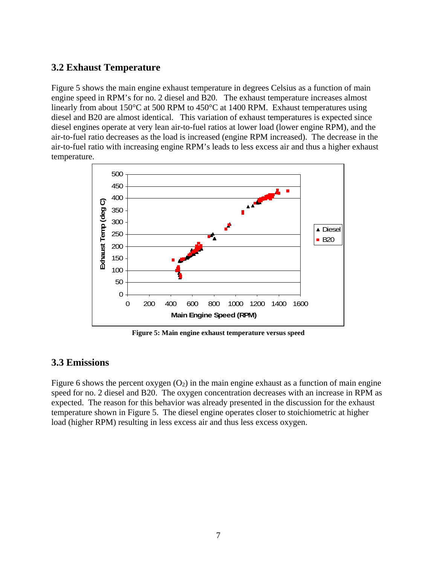#### **3.2 Exhaust Temperature**

Figure 5 shows the main engine exhaust temperature in degrees Celsius as a function of main engine speed in RPM's for no. 2 diesel and B20. The exhaust temperature increases almost linearly from about 150°C at 500 RPM to 450°C at 1400 RPM. Exhaust temperatures using diesel and B20 are almost identical. This variation of exhaust temperatures is expected since diesel engines operate at very lean air-to-fuel ratios at lower load (lower engine RPM), and the air-to-fuel ratio decreases as the load is increased (engine RPM increased). The decrease in the air-to-fuel ratio with increasing engine RPM's leads to less excess air and thus a higher exhaust temperature.



**Figure 5: Main engine exhaust temperature versus speed** 

#### **3.3 Emissions**

Figure 6 shows the percent oxygen  $(O_2)$  in the main engine exhaust as a function of main engine speed for no. 2 diesel and B20. The oxygen concentration decreases with an increase in RPM as expected. The reason for this behavior was already presented in the discussion for the exhaust temperature shown in Figure 5. The diesel engine operates closer to stoichiometric at higher load (higher RPM) resulting in less excess air and thus less excess oxygen.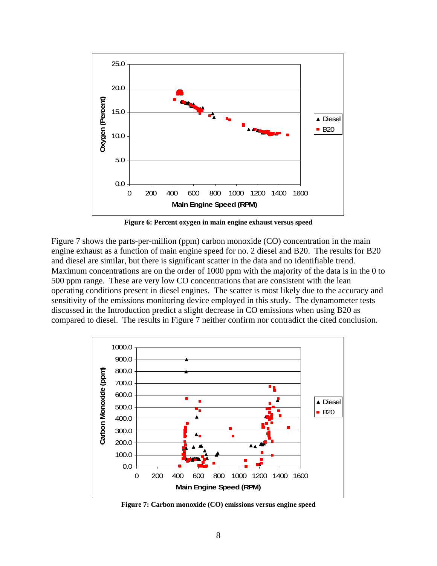

**Figure 6: Percent oxygen in main engine exhaust versus speed** 

Figure 7 shows the parts-per-million (ppm) carbon monoxide (CO) concentration in the main engine exhaust as a function of main engine speed for no. 2 diesel and B20. The results for B20 and diesel are similar, but there is significant scatter in the data and no identifiable trend. Maximum concentrations are on the order of 1000 ppm with the majority of the data is in the 0 to 500 ppm range. These are very low CO concentrations that are consistent with the lean operating conditions present in diesel engines. The scatter is most likely due to the accuracy and sensitivity of the emissions monitoring device employed in this study. The dynamometer tests discussed in the Introduction predict a slight decrease in CO emissions when using B20 as compared to diesel. The results in Figure 7 neither confirm nor contradict the cited conclusion.



**Figure 7: Carbon monoxide (CO) emissions versus engine speed**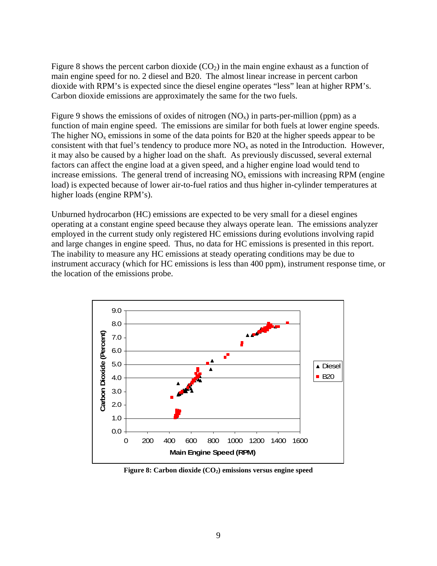Figure 8 shows the percent carbon dioxide  $(CO<sub>2</sub>)$  in the main engine exhaust as a function of main engine speed for no. 2 diesel and B20. The almost linear increase in percent carbon dioxide with RPM's is expected since the diesel engine operates "less" lean at higher RPM's. Carbon dioxide emissions are approximately the same for the two fuels.

Figure 9 shows the emissions of oxides of nitrogen  $(NO<sub>x</sub>)$  in parts-per-million (ppm) as a function of main engine speed. The emissions are similar for both fuels at lower engine speeds. The higher  $NO<sub>x</sub>$  emissions in some of the data points for B20 at the higher speeds appear to be consistent with that fuel's tendency to produce more  $NO<sub>x</sub>$  as noted in the Introduction. However, it may also be caused by a higher load on the shaft. As previously discussed, several external factors can affect the engine load at a given speed, and a higher engine load would tend to increase emissions. The general trend of increasing  $NO<sub>x</sub>$  emissions with increasing RPM (engine load) is expected because of lower air-to-fuel ratios and thus higher in-cylinder temperatures at higher loads (engine RPM's).

Unburned hydrocarbon (HC) emissions are expected to be very small for a diesel engines operating at a constant engine speed because they always operate lean. The emissions analyzer employed in the current study only registered HC emissions during evolutions involving rapid and large changes in engine speed. Thus, no data for HC emissions is presented in this report. The inability to measure any HC emissions at steady operating conditions may be due to instrument accuracy (which for HC emissions is less than 400 ppm), instrument response time, or the location of the emissions probe.



Figure 8: Carbon dioxide (CO<sub>2</sub>) emissions versus engine speed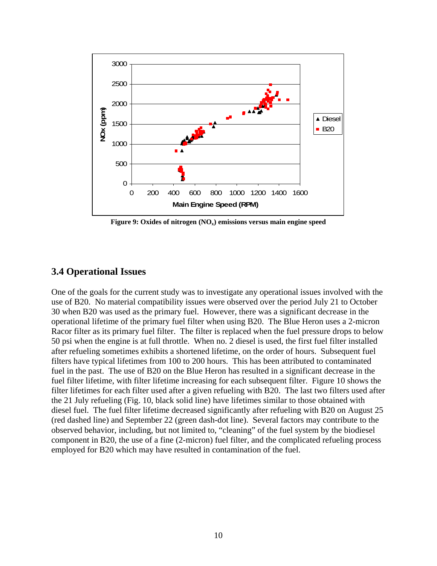

Figure 9: Oxides of nitrogen (NO<sub>x</sub>) emissions versus main engine speed

#### **3.4 Operational Issues**

One of the goals for the current study was to investigate any operational issues involved with the use of B20. No material compatibility issues were observed over the period July 21 to October 30 when B20 was used as the primary fuel. However, there was a significant decrease in the operational lifetime of the primary fuel filter when using B20. The Blue Heron uses a 2-micron Racor filter as its primary fuel filter. The filter is replaced when the fuel pressure drops to below 50 psi when the engine is at full throttle. When no. 2 diesel is used, the first fuel filter installed after refueling sometimes exhibits a shortened lifetime, on the order of hours. Subsequent fuel filters have typical lifetimes from 100 to 200 hours. This has been attributed to contaminated fuel in the past. The use of B20 on the Blue Heron has resulted in a significant decrease in the fuel filter lifetime, with filter lifetime increasing for each subsequent filter. Figure 10 shows the filter lifetimes for each filter used after a given refueling with B20. The last two filters used after the 21 July refueling (Fig. 10, black solid line) have lifetimes similar to those obtained with diesel fuel. The fuel filter lifetime decreased significantly after refueling with B20 on August 25 (red dashed line) and September 22 (green dash-dot line). Several factors may contribute to the observed behavior, including, but not limited to, "cleaning" of the fuel system by the biodiesel component in B20, the use of a fine (2-micron) fuel filter, and the complicated refueling process employed for B20 which may have resulted in contamination of the fuel.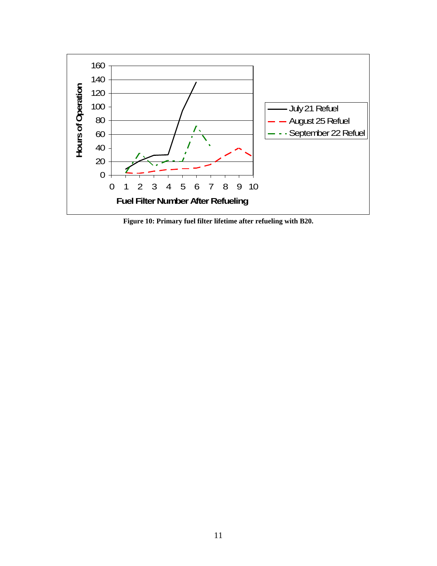

**Figure 10: Primary fuel filter lifetime after refueling with B20.**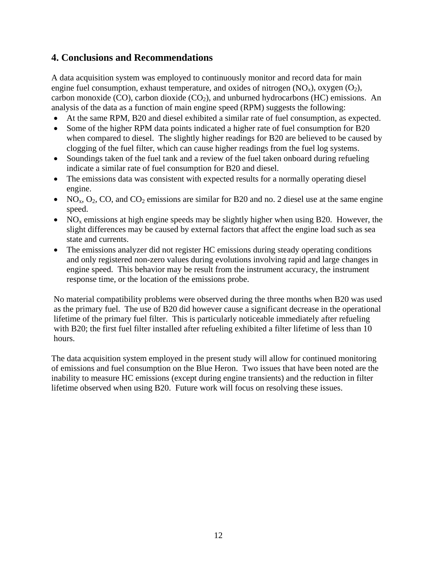#### **4. Conclusions and Recommendations**

A data acquisition system was employed to continuously monitor and record data for main engine fuel consumption, exhaust temperature, and oxides of nitrogen  $(NO_x)$ , oxygen  $(O_2)$ , carbon monoxide (CO), carbon dioxide (CO<sub>2</sub>), and unburned hydrocarbons (HC) emissions. An analysis of the data as a function of main engine speed (RPM) suggests the following:

- At the same RPM, B20 and diesel exhibited a similar rate of fuel consumption, as expected.
- Some of the higher RPM data points indicated a higher rate of fuel consumption for B20 when compared to diesel. The slightly higher readings for B20 are believed to be caused by clogging of the fuel filter, which can cause higher readings from the fuel log systems.
- Soundings taken of the fuel tank and a review of the fuel taken onboard during refueling indicate a similar rate of fuel consumption for B20 and diesel.
- The emissions data was consistent with expected results for a normally operating diesel engine.
- NO<sub>x</sub>, O<sub>2</sub>, CO, and CO<sub>2</sub> emissions are similar for B20 and no. 2 diesel use at the same engine speed.
- NO<sub>x</sub> emissions at high engine speeds may be slightly higher when using B20. However, the slight differences may be caused by external factors that affect the engine load such as sea state and currents.
- The emissions analyzer did not register HC emissions during steady operating conditions and only registered non-zero values during evolutions involving rapid and large changes in engine speed. This behavior may be result from the instrument accuracy, the instrument response time, or the location of the emissions probe.

No material compatibility problems were observed during the three months when B20 was used as the primary fuel. The use of B20 did however cause a significant decrease in the operational lifetime of the primary fuel filter. This is particularly noticeable immediately after refueling with B20; the first fuel filter installed after refueling exhibited a filter lifetime of less than 10 hours.

The data acquisition system employed in the present study will allow for continued monitoring of emissions and fuel consumption on the Blue Heron. Two issues that have been noted are the inability to measure HC emissions (except during engine transients) and the reduction in filter lifetime observed when using B20. Future work will focus on resolving these issues.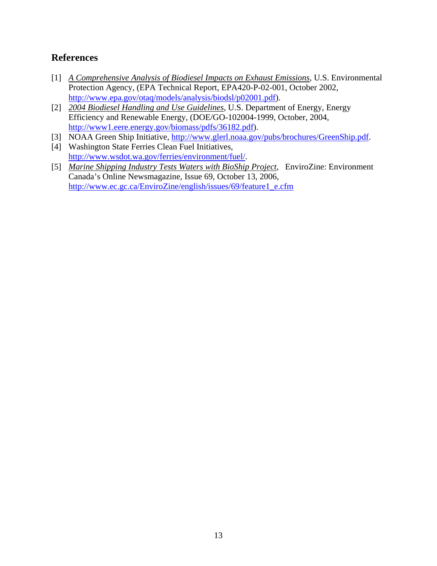#### **References**

- [1] *A Comprehensive Analysis of Biodiesel Impacts on Exhaust Emissions*, U.S. Environmental Protection Agency, (EPA Technical Report, EPA420-P-02-001, October 2002, http://www.epa.gov/otaq/models/analysis/biodsl/p02001.pdf).
- [2] *2004 Biodiesel Handling and Use Guidelines*, U.S. Department of Energy, Energy Efficiency and Renewable Energy, (DOE/GO-102004-1999, October, 2004, http://www1.eere.energy.gov/biomass/pdfs/36182.pdf).
- [3] NOAA Green Ship Initiative, http://www.glerl.noaa.gov/pubs/brochures/GreenShip.pdf.
- [4] Washington State Ferries Clean Fuel Initiatives, http://www.wsdot.wa.gov/ferries/environment/fuel/.
- [5] *Marine Shipping Industry Tests Waters with BioShip Project*, EnviroZine: Environment Canada's Online Newsmagazine, Issue 69, October 13, 2006, http://www.ec.gc.ca/EnviroZine/english/issues/69/feature1\_e.cfm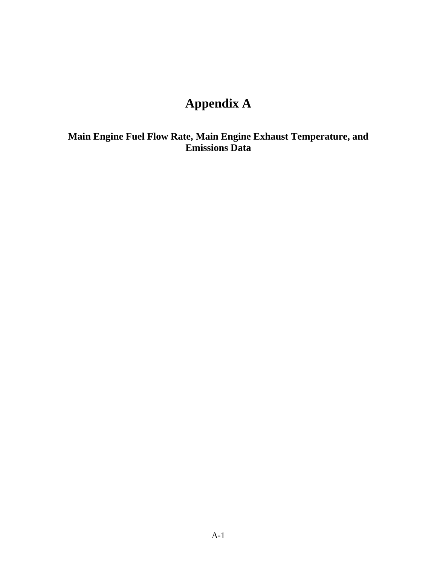## **Appendix A**

**Main Engine Fuel Flow Rate, Main Engine Exhaust Temperature, and Emissions Data**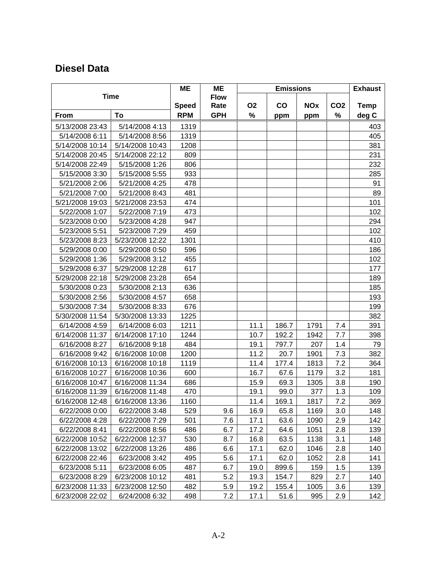### **Diesel Data**

|                 |                 | <b>ME</b>    | <b>ME</b>   | <b>Emissions</b> |               |            |                 | <b>Exhaust</b> |
|-----------------|-----------------|--------------|-------------|------------------|---------------|------------|-----------------|----------------|
|                 | <b>Time</b>     |              | <b>Flow</b> |                  |               |            |                 |                |
|                 |                 | <b>Speed</b> | Rate        | <b>O2</b>        | $\mathsf{co}$ | <b>NOx</b> | CO <sub>2</sub> | <b>Temp</b>    |
| From            | To              | <b>RPM</b>   | <b>GPH</b>  | $\%$             | ppm           | ppm        | %               | deg C          |
| 5/13/2008 23:43 | 5/14/2008 4:13  | 1319         |             |                  |               |            |                 | 403            |
| 5/14/2008 6:11  | 5/14/2008 8:56  | 1319         |             |                  |               |            |                 | 405            |
| 5/14/2008 10:14 | 5/14/2008 10:43 | 1208         |             |                  |               |            |                 | 381            |
| 5/14/2008 20:45 | 5/14/2008 22:12 | 809          |             |                  |               |            |                 | 231            |
| 5/14/2008 22:49 | 5/15/2008 1:26  | 806          |             |                  |               |            |                 | 232            |
| 5/15/2008 3:30  | 5/15/2008 5:55  | 933          |             |                  |               |            |                 | 285            |
| 5/21/2008 2:06  | 5/21/2008 4:25  | 478          |             |                  |               |            |                 | 91             |
| 5/21/2008 7:00  | 5/21/2008 8:43  | 481          |             |                  |               |            |                 | 89             |
| 5/21/2008 19:03 | 5/21/2008 23:53 | 474          |             |                  |               |            |                 | 101            |
| 5/22/2008 1:07  | 5/22/2008 7:19  | 473          |             |                  |               |            |                 | 102            |
| 5/23/2008 0:00  | 5/23/2008 4:28  | 947          |             |                  |               |            |                 | 294            |
| 5/23/2008 5:51  | 5/23/2008 7:29  | 459          |             |                  |               |            |                 | 102            |
| 5/23/2008 8:23  | 5/23/2008 12:22 | 1301         |             |                  |               |            |                 | 410            |
| 5/29/2008 0:00  | 5/29/2008 0:50  | 596          |             |                  |               |            |                 | 186            |
| 5/29/2008 1:36  | 5/29/2008 3:12  | 455          |             |                  |               |            |                 | 102            |
| 5/29/2008 6:37  | 5/29/2008 12:28 | 617          |             |                  |               |            |                 | 177            |
| 5/29/2008 22:18 | 5/29/2008 23:28 | 654          |             |                  |               |            |                 | 189            |
| 5/30/2008 0:23  | 5/30/2008 2:13  | 636          |             |                  |               |            |                 | 185            |
| 5/30/2008 2:56  | 5/30/2008 4:57  | 658          |             |                  |               |            |                 | 193            |
| 5/30/2008 7:34  | 5/30/2008 8:33  | 676          |             |                  |               |            |                 | 199            |
| 5/30/2008 11:54 | 5/30/2008 13:33 | 1225         |             |                  |               |            |                 | 382            |
| 6/14/2008 4:59  | 6/14/2008 6:03  | 1211         |             | 11.1             | 186.7         | 1791       | 7.4             | 391            |
| 6/14/2008 11:37 | 6/14/2008 17:10 | 1244         |             | 10.7             | 192.2         | 1942       | 7.7             | 398            |
| 6/16/2008 8:27  | 6/16/2008 9:18  | 484          |             | 19.1             | 797.7         | 207        | 1.4             | 79             |
| 6/16/2008 9:42  | 6/16/2008 10:08 | 1200         |             | 11.2             | 20.7          | 1901       | 7.3             | 382            |
| 6/16/2008 10:13 | 6/16/2008 10:18 | 1119         |             | 11.4             | 177.4         | 1813       | 7.2             | 364            |
| 6/16/2008 10:27 | 6/16/2008 10:36 | 600          |             | 16.7             | 67.6          | 1179       | 3.2             | 181            |
| 6/16/2008 10:47 | 6/16/2008 11:34 | 686          |             | 15.9             | 69.3          | 1305       | 3.8             | 190            |
| 6/16/2008 11:39 | 6/16/2008 11:48 | 470          |             | 19.1             | 99.0          | 377        | 1.3             | 109            |
| 6/16/2008 12:48 | 6/16/2008 13:36 | 1160         |             | 11.4             | 169.1         | 1817       | 7.2             | 369            |
| 6/22/2008 0:00  | 6/22/2008 3:48  | 529          | 9.6         | 16.9             | 65.8          | 1169       | 3.0             | 148            |
| 6/22/2008 4:28  | 6/22/2008 7:29  | 501          | 7.6         | 17.1             | 63.6          | 1090       | 2.9             | 142            |
| 6/22/2008 8:41  | 6/22/2008 8:56  | 486          | 6.7         | 17.2             | 64.6          | 1051       | 2.8             | 139            |
| 6/22/2008 10:52 | 6/22/2008 12:37 | 530          | 8.7         | 16.8             | 63.5          | 1138       | 3.1             | 148            |
| 6/22/2008 13:02 | 6/22/2008 13:26 | 486          | 6.6         | 17.1             | 62.0          | 1046       | 2.8             | 140            |
| 6/22/2008 22:46 | 6/23/2008 3:42  | 495          | 5.6         | 17.1             | 62.0          | 1052       | 2.8             | 141            |
| 6/23/2008 5:11  | 6/23/2008 6:05  | 487          | 6.7         | 19.0             | 899.6         | 159        | 1.5             | 139            |
| 6/23/2008 8:29  | 6/23/2008 10:12 | 481          | 5.2         | 19.3             | 154.7         | 829        | 2.7             | 140            |
| 6/23/2008 11:33 | 6/23/2008 12:50 | 482          | 5.9         | 19.2             | 155.4         | 1005       | 3.6             | 139            |
| 6/23/2008 22:02 | 6/24/2008 6:32  | 498          | 7.2         | 17.1             | 51.6          | 995        | 2.9             | 142            |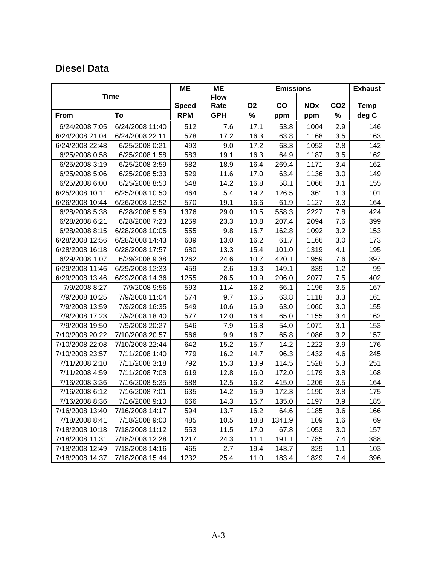### **Diesel Data**

|                 |                 | ME           | <b>ME</b>           | <b>Emissions</b> |               |            |                 | <b>Exhaust</b> |
|-----------------|-----------------|--------------|---------------------|------------------|---------------|------------|-----------------|----------------|
|                 | <b>Time</b>     | <b>Speed</b> | <b>Flow</b><br>Rate | <b>O2</b>        | $\mathbf{co}$ | <b>NOx</b> | CO <sub>2</sub> | <b>Temp</b>    |
| From            | To              | <b>RPM</b>   | <b>GPH</b>          | %                | ppm           | ppm        | %               | deg C          |
| 6/24/2008 7:05  | 6/24/2008 11:40 | 512          | 7.6                 | 17.1             | 53.8          | 1004       | 2.9             | 146            |
| 6/24/2008 21:04 | 6/24/2008 22:11 | 578          | 17.2                | 16.3             | 63.8          | 1168       | 3.5             | 163            |
| 6/24/2008 22:48 | 6/25/2008 0:21  | 493          | 9.0                 | 17.2             | 63.3          | 1052       | 2.8             | 142            |
| 6/25/2008 0:58  | 6/25/2008 1:58  | 583          | 19.1                | 16.3             | 64.9          | 1187       | 3.5             | 162            |
| 6/25/2008 3:19  | 6/25/2008 3:59  | 582          | 18.9                | 16.4             | 269.4         | 1171       | 3.4             | 162            |
| 6/25/2008 5:06  | 6/25/2008 5:33  | 529          | 11.6                | 17.0             | 63.4          | 1136       | 3.0             | 149            |
| 6/25/2008 6:00  | 6/25/2008 8:50  | 548          | 14.2                | 16.8             | 58.1          | 1066       | 3.1             | 155            |
| 6/25/2008 10:11 | 6/25/2008 10:50 | 464          | 5.4                 | 19.2             | 126.5         | 361        | 1.3             | 101            |
| 6/26/2008 10:44 | 6/26/2008 13:52 | 570          | 19.1                | 16.6             | 61.9          | 1127       | 3.3             | 164            |
| 6/28/2008 5:38  | 6/28/2008 5:59  | 1376         | 29.0                | 10.5             | 558.3         | 2227       | 7.8             | 424            |
| 6/28/2008 6:21  | 6/28/2008 7:23  | 1259         | 23.3                | 10.8             | 207.4         | 2094       | 7.6             | 399            |
| 6/28/2008 8:15  | 6/28/2008 10:05 | 555          | 9.8                 | 16.7             | 162.8         | 1092       | 3.2             | 153            |
| 6/28/2008 12:56 | 6/28/2008 14:43 | 609          | 13.0                | 16.2             | 61.7          | 1166       | 3.0             | 173            |
| 6/28/2008 16:18 | 6/28/2008 17:57 | 680          | 13.3                | 15.4             | 101.0         | 1319       | 4.1             | 195            |
| 6/29/2008 1:07  | 6/29/2008 9:38  | 1262         | 24.6                | 10.7             | 420.1         | 1959       | 7.6             | 397            |
| 6/29/2008 11:46 | 6/29/2008 12:33 | 459          | 2.6                 | 19.3             | 149.1         | 339        | 1.2             | 99             |
| 6/29/2008 13:46 | 6/29/2008 14:36 | 1255         | 26.5                | 10.9             | 206.0         | 2077       | 7.5             | 402            |
| 7/9/2008 8:27   | 7/9/2008 9:56   | 593          | 11.4                | 16.2             | 66.1          | 1196       | 3.5             | 167            |
| 7/9/2008 10:25  | 7/9/2008 11:04  | 574          | 9.7                 | 16.5             | 63.8          | 1118       | 3.3             | 161            |
| 7/9/2008 13:59  | 7/9/2008 16:35  | 549          | 10.6                | 16.9             | 63.0          | 1060       | 3.0             | 155            |
| 7/9/2008 17:23  | 7/9/2008 18:40  | 577          | 12.0                | 16.4             | 65.0          | 1155       | 3.4             | 162            |
| 7/9/2008 19:50  | 7/9/2008 20:27  | 546          | 7.9                 | 16.8             | 54.0          | 1071       | 3.1             | 153            |
| 7/10/2008 20:22 | 7/10/2008 20:57 | 566          | 9.9                 | 16.7             | 65.8          | 1086       | 3.2             | 157            |
| 7/10/2008 22:08 | 7/10/2008 22:44 | 642          | 15.2                | 15.7             | 14.2          | 1222       | 3.9             | 176            |
| 7/10/2008 23:57 | 7/11/2008 1:40  | 779          | 16.2                | 14.7             | 96.3          | 1432       | 4.6             | 245            |
| 7/11/2008 2:10  | 7/11/2008 3:18  | 792          | 15.3                | 13.9             | 114.5         | 1528       | 5.3             | 251            |
| 7/11/2008 4:59  | 7/11/2008 7:08  | 619          | 12.8                | 16.0             | 172.0         | 1179       | 3.8             | 168            |
| 7/16/2008 3:36  | 7/16/2008 5:35  | 588          | 12.5                | 16.2             | 415.0         | 1206       | 3.5             | 164            |
| 7/16/2008 6:12  | 7/16/2008 7:01  | 635          | 14.2                | 15.9             | 172.3         | 1190       | 3.8             | 175            |
| 7/16/2008 8:36  | 7/16/2008 9:10  | 666          | 14.3                | 15.7             | 135.0         | 1197       | 3.9             | 185            |
| 7/16/2008 13:40 | 7/16/2008 14:17 | 594          | 13.7                | 16.2             | 64.6          | 1185       | 3.6             | 166            |
| 7/18/2008 8:41  | 7/18/2008 9:00  | 485          | 10.5                | 18.8             | 1341.9        | 109        | 1.6             | 69             |
| 7/18/2008 10:18 | 7/18/2008 11:12 | 553          | 11.5                | 17.0             | 67.8          | 1053       | 3.0             | 157            |
| 7/18/2008 11:31 | 7/18/2008 12:28 | 1217         | 24.3                | 11.1             | 191.1         | 1785       | 7.4             | 388            |
| 7/18/2008 12:49 | 7/18/2008 14:16 | 465          | 2.7                 | 19.4             | 143.7         | 329        | 1.1             | 103            |
| 7/18/2008 14:37 | 7/18/2008 15:44 | 1232         | 25.4                | 11.0             | 183.4         | 1829       | 7.4             | 396            |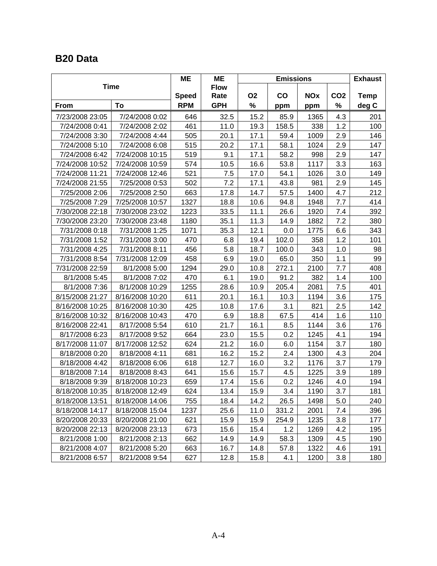### **B20 Data**

|                 |                 | ME           | <b>ME</b>           | <b>Emissions</b>                         |       |      |                 | <b>Exhaust</b> |
|-----------------|-----------------|--------------|---------------------|------------------------------------------|-------|------|-----------------|----------------|
|                 | <b>Time</b>     | <b>Speed</b> | <b>Flow</b><br>Rate | <b>O2</b><br>$\mathbf{co}$<br><b>NOx</b> |       |      | CO <sub>2</sub> | <b>Temp</b>    |
| From            | To              | <b>RPM</b>   | <b>GPH</b>          | %                                        | ppm   | ppm  | %               | deg C          |
| 7/23/2008 23:05 | 7/24/2008 0:02  | 646          | 32.5                | 15.2                                     | 85.9  | 1365 | 4.3             | 201            |
| 7/24/2008 0:41  | 7/24/2008 2:02  | 461          | 11.0                | 19.3                                     | 158.5 | 338  | 1.2             | 100            |
| 7/24/2008 3:30  | 7/24/2008 4:44  | 505          | 20.1                | 17.1                                     | 59.4  | 1009 | 2.9             | 146            |
| 7/24/2008 5:10  | 7/24/2008 6:08  | 515          | 20.2                | 17.1                                     | 58.1  | 1024 | 2.9             | 147            |
| 7/24/2008 6:42  | 7/24/2008 10:15 | 519          | 9.1                 | 17.1                                     | 58.2  | 998  | 2.9             | 147            |
| 7/24/2008 10:52 | 7/24/2008 10:59 | 574          | 10.5                | 16.6                                     | 53.8  | 1117 | 3.3             | 163            |
| 7/24/2008 11:21 | 7/24/2008 12:46 | 521          | 7.5                 | 17.0                                     | 54.1  | 1026 | 3.0             | 149            |
| 7/24/2008 21:55 | 7/25/2008 0:53  | 502          | 7.2                 | 17.1                                     | 43.8  | 981  | 2.9             | 145            |
| 7/25/2008 2:06  | 7/25/2008 2:50  | 663          | 17.8                | 14.7                                     | 57.5  | 1400 | 4.7             | 212            |
| 7/25/2008 7:29  | 7/25/2008 10:57 | 1327         | 18.8                | 10.6                                     | 94.8  | 1948 | 7.7             | 414            |
| 7/30/2008 22:18 | 7/30/2008 23:02 | 1223         | 33.5                | 11.1                                     | 26.6  | 1920 | 7.4             | 392            |
| 7/30/2008 23:20 | 7/30/2008 23:48 | 1180         | 35.1                | 11.3                                     | 14.9  | 1882 | 7.2             | 380            |
| 7/31/2008 0:18  | 7/31/2008 1:25  | 1071         | 35.3                | 12.1                                     | 0.0   | 1775 | 6.6             | 343            |
| 7/31/2008 1:52  | 7/31/2008 3:00  | 470          | 6.8                 | 19.4                                     | 102.0 | 358  | 1.2             | 101            |
| 7/31/2008 4:25  | 7/31/2008 8:11  | 456          | 5.8                 | 18.7                                     | 100.0 | 343  | 1.0             | 98             |
| 7/31/2008 8:54  | 7/31/2008 12:09 | 458          | 6.9                 | 19.0                                     | 65.0  | 350  | 1.1             | 99             |
| 7/31/2008 22:59 | 8/1/2008 5:00   | 1294         | 29.0                | 10.8                                     | 272.1 | 2100 | 7.7             | 408            |
| 8/1/2008 5:45   | 8/1/2008 7:02   | 470          | 6.1                 | 19.0                                     | 91.2  | 382  | 1.4             | 100            |
| 8/1/2008 7:36   | 8/1/2008 10:29  | 1255         | 28.6                | 10.9                                     | 205.4 | 2081 | 7.5             | 401            |
| 8/15/2008 21:27 | 8/16/2008 10:20 | 611          | 20.1                | 16.1                                     | 10.3  | 1194 | 3.6             | 175            |
| 8/16/2008 10:25 | 8/16/2008 10:30 | 425          | 10.8                | 17.6                                     | 3.1   | 821  | 2.5             | 142            |
| 8/16/2008 10:32 | 8/16/2008 10:43 | 470          | 6.9                 | 18.8                                     | 67.5  | 414  | 1.6             | 110            |
| 8/16/2008 22:41 | 8/17/2008 5:54  | 610          | 21.7                | 16.1                                     | 8.5   | 1144 | 3.6             | 176            |
| 8/17/2008 6:23  | 8/17/2008 9:52  | 664          | 23.0                | 15.5                                     | 0.2   | 1245 | 4.1             | 194            |
| 8/17/2008 11:07 | 8/17/2008 12:52 | 624          | 21.2                | 16.0                                     | 6.0   | 1154 | 3.7             | 180            |
| 8/18/2008 0:20  | 8/18/2008 4:11  | 681          | 16.2                | 15.2                                     | 2.4   | 1300 | 4.3             | 204            |
| 8/18/2008 4:42  | 8/18/2008 6:06  | 618          | 12.7                | 16.0                                     | 3.2   | 1176 | 3.7             | 179            |
| 8/18/2008 7:14  | 8/18/2008 8:43  | 641          | 15.6                | 15.7                                     | 4.5   | 1225 | 3.9             | 189            |
| 8/18/2008 9:39  | 8/18/2008 10:23 | 659          | 17.4                | 15.6                                     | 0.2   | 1246 | 4.0             | 194            |
| 8/18/2008 10:35 | 8/18/2008 12:49 | 624          | 13.4                | 15.9                                     | 3.4   | 1190 | 3.7             | 181            |
| 8/18/2008 13:51 | 8/18/2008 14:06 | 755          | 18.4                | 14.2                                     | 26.5  | 1498 | 5.0             | 240            |
| 8/18/2008 14:17 | 8/18/2008 15:04 | 1237         | 25.6                | 11.0                                     | 331.2 | 2001 | 7.4             | 396            |
| 8/20/2008 20:33 | 8/20/2008 21:00 | 621          | 15.9                | 15.9                                     | 254.9 | 1235 | 3.8             | 177            |
| 8/20/2008 22:13 | 8/20/2008 23:13 | 673          | 15.6                | 15.4                                     | 1.2   | 1269 | 4.2             | 195            |
| 8/21/2008 1:00  | 8/21/2008 2:13  | 662          | 14.9                | 14.9                                     | 58.3  | 1309 | 4.5             | 190            |
| 8/21/2008 4:07  | 8/21/2008 5:20  | 663          | 16.7                | 14.8                                     | 57.8  | 1322 | 4.6             | 191            |
| 8/21/2008 6:57  | 8/21/2008 9:54  | 627          | 12.8                | 15.8                                     | 4.1   | 1200 | 3.8             | 180            |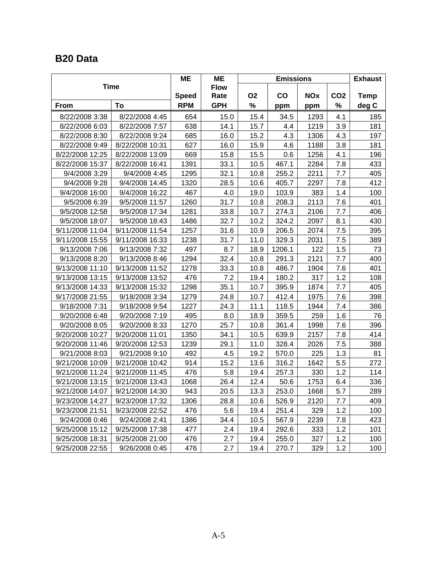### **B20 Data**

|                 |                 | ME           | <b>ME</b>           | <b>Emissions</b>                         |        |      |                 | <b>Exhaust</b> |
|-----------------|-----------------|--------------|---------------------|------------------------------------------|--------|------|-----------------|----------------|
|                 | <b>Time</b>     | <b>Speed</b> | <b>Flow</b><br>Rate | <b>O2</b><br>$\mathbf{CO}$<br><b>NOx</b> |        |      | CO <sub>2</sub> | <b>Temp</b>    |
| <b>From</b>     | To              | <b>RPM</b>   | <b>GPH</b>          | %                                        | ppm    | ppm  | %               | deg C          |
| 8/22/2008 3:38  | 8/22/2008 4:45  | 654          | 15.0                | 15.4                                     | 34.5   | 1293 | 4.1             | 185            |
| 8/22/2008 6:03  | 8/22/2008 7:57  | 638          | 14.1                | 15.7                                     | 4.4    | 1219 | 3.9             | 181            |
| 8/22/2008 8:30  | 8/22/2008 9:24  | 685          | 16.0                | 15.2                                     | 4.3    | 1306 | 4.3             | 197            |
| 8/22/2008 9:49  | 8/22/2008 10:31 | 627          | 16.0                | 15.9                                     | 4.6    | 1188 | 3.8             | 181            |
| 8/22/2008 12:25 | 8/22/2008 13:09 | 669          | 15.8                | 15.5                                     | 0.6    | 1256 | 4.1             | 196            |
| 8/22/2008 15:37 | 8/22/2008 16:41 | 1391         | 33.1                | 10.5                                     | 467.1  | 2284 | 7.8             | 433            |
| 9/4/2008 3:29   | 9/4/2008 4:45   | 1295         | 32.1                | 10.8                                     | 255.2  | 2211 | 7.7             | 405            |
| 9/4/2008 9:28   | 9/4/2008 14:45  | 1320         | 28.5                | 10.6                                     | 405.7  | 2297 | 7.8             | 412            |
| 9/4/2008 16:00  | 9/4/2008 16:22  | 467          | 4.0                 | 19.0                                     | 103.9  | 383  | 1.4             | 100            |
| 9/5/2008 6:39   | 9/5/2008 11:57  | 1260         | 31.7                | 10.8                                     | 208.3  | 2113 | 7.6             | 401            |
| 9/5/2008 12:58  | 9/5/2008 17:34  | 1281         | 33.8                | 10.7                                     | 274.3  | 2106 | 7.7             | 406            |
| 9/5/2008 18:07  | 9/5/2008 18:43  | 1486         | 32.7                | 10.2                                     | 324.2  | 2097 | 8.1             | 430            |
| 9/11/2008 11:04 | 9/11/2008 11:54 | 1257         | 31.6                | 10.9                                     | 206.5  | 2074 | 7.5             | 395            |
| 9/11/2008 15:55 | 9/11/2008 16:33 | 1238         | 31.7                | 11.0                                     | 329.3  | 2031 | 7.5             | 389            |
| 9/13/2008 7:06  | 9/13/2008 7:32  | 497          | 8.7                 | 18.9                                     | 1206.1 | 122  | 1.5             | 73             |
| 9/13/2008 8:20  | 9/13/2008 8:46  | 1294         | 32.4                | 10.8                                     | 291.3  | 2121 | 7.7             | 400            |
| 9/13/2008 11:10 | 9/13/2008 11:52 | 1278         | 33.3                | 10.8                                     | 486.7  | 1904 | 7.6             | 401            |
| 9/13/2008 13:15 | 9/13/2008 13:52 | 476          | 7.2                 | 19.4                                     | 180.2  | 317  | 1.2             | 108            |
| 9/13/2008 14:33 | 9/13/2008 15:32 | 1298         | 35.1                | 10.7                                     | 395.9  | 1874 | 7.7             | 405            |
| 9/17/2008 21:55 | 9/18/2008 3:34  | 1279         | 24.8                | 10.7                                     | 412.4  | 1975 | 7.6             | 398            |
| 9/18/2008 7:31  | 9/18/2008 9:54  | 1227         | 24.3                | 11.1                                     | 118.5  | 1944 | 7.4             | 386            |
| 9/20/2008 6:48  | 9/20/2008 7:19  | 495          | 8.0                 | 18.9                                     | 359.5  | 259  | 1.6             | 76             |
| 9/20/2008 8:05  | 9/20/2008 8:33  | 1270         | 25.7                | 10.8                                     | 361.4  | 1998 | 7.6             | 396            |
| 9/20/2008 10:27 | 9/20/2008 11:01 | 1350         | 34.1                | 10.5                                     | 639.9  | 2157 | 7.8             | 414            |
| 9/20/2008 11:46 | 9/20/2008 12:53 | 1239         | 29.1                | 11.0                                     | 328.4  | 2026 | 7.5             | 388            |
| 9/21/2008 8:03  | 9/21/2008 9:10  | 492          | 4.5                 | 19.2                                     | 570.0  | 225  | 1.3             | 81             |
| 9/21/2008 10:09 | 9/21/2008 10:42 | 914          | 15.2                | 13.6                                     | 316.2  | 1642 | 5.5             | 272            |
| 9/21/2008 11:24 | 9/21/2008 11:45 | 476          | 5.8                 | 19.4                                     | 257.3  | 330  | 1.2             | 114            |
| 9/21/2008 13:15 | 9/21/2008 13:43 | 1068         | 26.4                | 12.4                                     | 50.6   | 1753 | 6.4             | 336            |
| 9/21/2008 14:07 | 9/21/2008 14:30 | 943          | 20.5                | 13.3                                     | 253.0  | 1668 | 5.7             | 289            |
| 9/23/2008 14:27 | 9/23/2008 17:32 | 1306         | 28.8                | 10.6                                     | 526.9  | 2120 | 7.7             | 409            |
| 9/23/2008 21:51 | 9/23/2008 22:52 | 476          | 5.6                 | 19.4                                     | 251.4  | 329  | 1.2             | 100            |
| 9/24/2008 0:46  | 9/24/2008 2:41  | 1386         | 34.4                | 10.5                                     | 567.9  | 2239 | 7.8             | 423            |
| 9/25/2008 15:12 | 9/25/2008 17:38 | 477          | 2.4                 | 19.4                                     | 292.6  | 333  | 1.2             | 101            |
| 9/25/2008 18:31 | 9/25/2008 21:00 | 476          | 2.7                 | 19.4                                     | 255.0  | 327  | 1.2             | 100            |
| 9/25/2008 22:55 | 9/26/2008 0:45  | 476          | 2.7                 | 19.4                                     | 270.7  | 329  | 1.2             | 100            |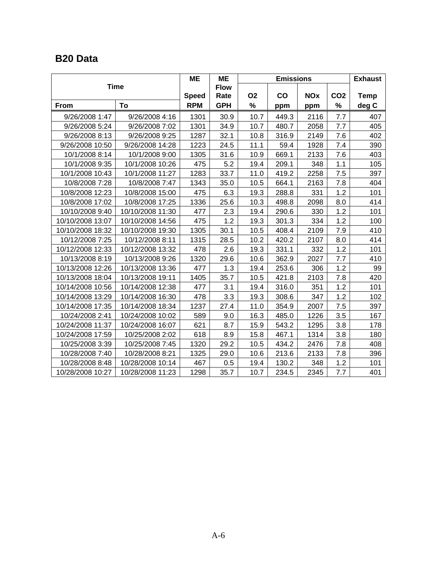### **B20 Data**

|                  |                  | <b>ME</b>    | <b>ME</b>   |           | <b>Emissions</b> |            |                 | <b>Exhaust</b> |
|------------------|------------------|--------------|-------------|-----------|------------------|------------|-----------------|----------------|
|                  | <b>Time</b>      |              | <b>Flow</b> |           |                  |            |                 |                |
|                  |                  | <b>Speed</b> | Rate        | <b>O2</b> | $\mathbf{co}$    | <b>NOx</b> | CO <sub>2</sub> | <b>Temp</b>    |
| From             | To               | <b>RPM</b>   | <b>GPH</b>  | %         | ppm              | ppm        | %               | deg C          |
| 9/26/2008 1:47   | 9/26/2008 4:16   | 1301         | 30.9        | 10.7      | 449.3            | 2116       | 7.7             | 407            |
| 9/26/2008 5:24   | 9/26/2008 7:02   | 1301         | 34.9        | 10.7      | 480.7            | 2058       | 7.7             | 405            |
| 9/26/2008 8:13   | 9/26/2008 9:25   | 1287         | 32.1        | 10.8      | 316.9            | 2149       | 7.6             | 402            |
| 9/26/2008 10:50  | 9/26/2008 14:28  | 1223         | 24.5        | 11.1      | 59.4             | 1928       | 7.4             | 390            |
| 10/1/2008 8:14   | 10/1/2008 9:00   | 1305         | 31.6        | 10.9      | 669.1            | 2133       | 7.6             | 403            |
| 10/1/2008 9:35   | 10/1/2008 10:26  | 475          | 5.2         | 19.4      | 209.1            | 348        | 1.1             | 105            |
| 10/1/2008 10:43  | 10/1/2008 11:27  | 1283         | 33.7        | 11.0      | 419.2            | 2258       | 7.5             | 397            |
| 10/8/2008 7:28   | 10/8/2008 7:47   | 1343         | 35.0        | 10.5      | 664.1            | 2163       | 7.8             | 404            |
| 10/8/2008 12:23  | 10/8/2008 15:00  | 475          | 6.3         | 19.3      | 288.8            | 331        | 1.2             | 101            |
| 10/8/2008 17:02  | 10/8/2008 17:25  | 1336         | 25.6        | 10.3      | 498.8            | 2098       | 8.0             | 414            |
| 10/10/2008 9:40  | 10/10/2008 11:30 | 477          | 2.3         | 19.4      | 290.6            | 330        | 1.2             | 101            |
| 10/10/2008 13:07 | 10/10/2008 14:56 | 475          | 1.2         | 19.3      | 301.3            | 334        | 1.2             | 100            |
| 10/10/2008 18:32 | 10/10/2008 19:30 | 1305         | 30.1        | 10.5      | 408.4            | 2109       | 7.9             | 410            |
| 10/12/2008 7:25  | 10/12/2008 8:11  | 1315         | 28.5        | 10.2      | 420.2            | 2107       | 8.0             | 414            |
| 10/12/2008 12:33 | 10/12/2008 13:32 | 478          | 2.6         | 19.3      | 331.1            | 332        | 1.2             | 101            |
| 10/13/2008 8:19  | 10/13/2008 9:26  | 1320         | 29.6        | 10.6      | 362.9            | 2027       | 7.7             | 410            |
| 10/13/2008 12:26 | 10/13/2008 13:36 | 477          | 1.3         | 19.4      | 253.6            | 306        | 1.2             | 99             |
| 10/13/2008 18:04 | 10/13/2008 19:11 | 1405         | 35.7        | 10.5      | 421.8            | 2103       | 7.8             | 420            |
| 10/14/2008 10:56 | 10/14/2008 12:38 | 477          | 3.1         | 19.4      | 316.0            | 351        | 1.2             | 101            |
| 10/14/2008 13:29 | 10/14/2008 16:30 | 478          | 3.3         | 19.3      | 308.6            | 347        | 1.2             | 102            |
| 10/14/2008 17:35 | 10/14/2008 18:34 | 1237         | 27.4        | 11.0      | 354.9            | 2007       | 7.5             | 397            |
| 10/24/2008 2:41  | 10/24/2008 10:02 | 589          | 9.0         | 16.3      | 485.0            | 1226       | 3.5             | 167            |
| 10/24/2008 11:37 | 10/24/2008 16:07 | 621          | 8.7         | 15.9      | 543.2            | 1295       | 3.8             | 178            |
| 10/24/2008 17:59 | 10/25/2008 2:02  | 618          | 8.9         | 15.8      | 467.1            | 1314       | 3.8             | 180            |
| 10/25/2008 3:39  | 10/25/2008 7:45  | 1320         | 29.2        | 10.5      | 434.2            | 2476       | 7.8             | 408            |
| 10/28/2008 7:40  | 10/28/2008 8:21  | 1325         | 29.0        | 10.6      | 213.6            | 2133       | 7.8             | 396            |
| 10/28/2008 8:48  | 10/28/2008 10:14 | 467          | 0.5         | 19.4      | 130.2            | 348        | 1.2             | 101            |
| 10/28/2008 10:27 | 10/28/2008 11:23 | 1298         | 35.7        | 10.7      | 234.5            | 2345       | 7.7             | 401            |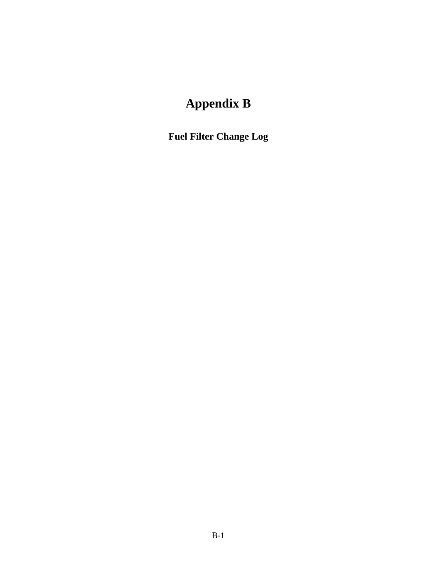# **Appendix B**

**Fuel Filter Change Log**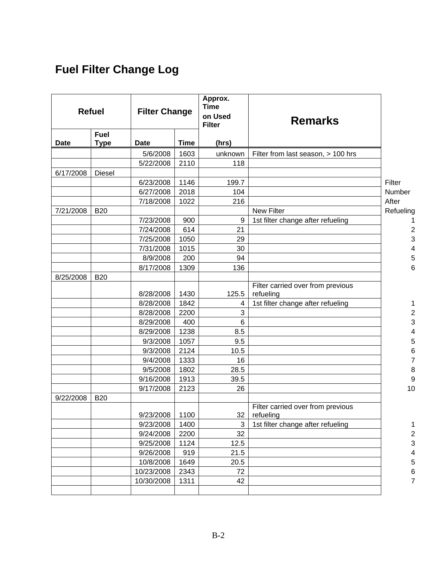## **Fuel Filter Change Log**

|             | <b>Refuel</b><br><b>Filter Change</b> |             |             | Approx.<br><b>Time</b><br>on Used<br><b>Filter</b> | <b>Remarks</b>                                 |                          |
|-------------|---------------------------------------|-------------|-------------|----------------------------------------------------|------------------------------------------------|--------------------------|
| <b>Date</b> | <b>Fuel</b><br><b>Type</b>            | <b>Date</b> | <b>Time</b> | (hrs)                                              |                                                |                          |
|             |                                       | 5/6/2008    | 1603        | unknown                                            | Filter from last season, > 100 hrs             |                          |
|             |                                       | 5/22/2008   | 2110        | 118                                                |                                                |                          |
| 6/17/2008   | <b>Diesel</b>                         |             |             |                                                    |                                                |                          |
|             |                                       | 6/23/2008   | 1146        | 199.7                                              |                                                | Filter                   |
|             |                                       | 6/27/2008   | 2018        | 104                                                |                                                | Number                   |
|             |                                       | 7/18/2008   | 1022        | 216                                                |                                                | After                    |
| 7/21/2008   | <b>B20</b>                            |             |             |                                                    | <b>New Filter</b>                              | Refueling                |
|             |                                       | 7/23/2008   | 900         | 9                                                  | 1st filter change after refueling              | 1                        |
|             |                                       | 7/24/2008   | 614         | 21                                                 |                                                | $\overline{\mathbf{c}}$  |
|             |                                       | 7/25/2008   | 1050        | 29                                                 |                                                | 3                        |
|             |                                       | 7/31/2008   | 1015        | 30                                                 |                                                | $\overline{\mathcal{A}}$ |
|             |                                       | 8/9/2008    | 200         | 94                                                 |                                                | 5                        |
|             |                                       | 8/17/2008   | 1309        | 136                                                |                                                | 6                        |
| 8/25/2008   | <b>B20</b>                            |             |             |                                                    |                                                |                          |
|             |                                       | 8/28/2008   | 1430        | 125.5                                              | Filter carried over from previous<br>refueling |                          |
|             |                                       | 8/28/2008   | 1842        | 4                                                  | 1st filter change after refueling              | 1                        |
|             |                                       | 8/28/2008   | 2200        | 3                                                  |                                                | $\overline{\mathbf{c}}$  |
|             |                                       | 8/29/2008   | 400         | $\,6$                                              |                                                | 3                        |
|             |                                       | 8/29/2008   | 1238        | 8.5                                                |                                                | 4                        |
|             |                                       | 9/3/2008    | 1057        | 9.5                                                |                                                | 5                        |
|             |                                       | 9/3/2008    | 2124        | 10.5                                               |                                                | 6                        |
|             |                                       | 9/4/2008    | 1333        | 16                                                 |                                                | $\overline{7}$           |
|             |                                       | 9/5/2008    | 1802        | 28.5                                               |                                                | 8                        |
|             |                                       | 9/16/2008   | 1913        | 39.5                                               |                                                | 9                        |
|             |                                       | 9/17/2008   | 2123        | 26                                                 |                                                | 10                       |
| 9/22/2008   | <b>B20</b>                            |             |             |                                                    |                                                |                          |
|             |                                       |             |             |                                                    | Filter carried over from previous              |                          |
|             |                                       | 9/23/2008   | 1100        | 32                                                 | refueling                                      |                          |
|             |                                       | 9/23/2008   | 1400        | 3                                                  | 1st filter change after refueling              | 1                        |
|             |                                       | 9/24/2008   | 2200        | 32                                                 |                                                | $\overline{\mathbf{c}}$  |
|             |                                       | 9/25/2008   | 1124        | 12.5                                               |                                                | 3                        |
|             |                                       | 9/26/2008   | 919         | 21.5                                               |                                                | 4                        |
|             |                                       | 10/8/2008   | 1649        | 20.5                                               |                                                | 5                        |
|             |                                       | 10/23/2008  | 2343        | 72                                                 |                                                | 6                        |
|             |                                       | 10/30/2008  | 1311        | 42                                                 |                                                | $\overline{7}$           |
|             |                                       |             |             |                                                    |                                                |                          |